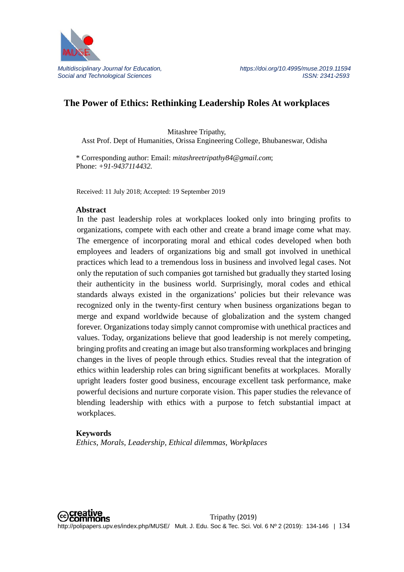

# **The Power of Ethics: Rethinking Leadership Roles At workplaces**

Mitashree Tripathy, Asst Prof. Dept of Humanities, Orissa Engineering College, Bhubaneswar, Odisha

\* Corresponding author: Email: *mitashreetripathy84@gmail.com*; Phone: *+91-9437114432.*

Received: 11 July 2018; Accepted: 19 September 2019

#### **Abstract**

In the past leadership roles at workplaces looked only into bringing profits to organizations, compete with each other and create a brand image come what may. The emergence of incorporating moral and ethical codes developed when both employees and leaders of organizations big and small got involved in unethical practices which lead to a tremendous loss in business and involved legal cases. Not only the reputation of such companies got tarnished but gradually they started losing their authenticity in the business world. Surprisingly, moral codes and ethical standards always existed in the organizations' policies but their relevance was recognized only in the twenty-first century when business organizations began to merge and expand worldwide because of globalization and the system changed forever. Organizations today simply cannot compromise with unethical practices and values. Today, organizations believe that good leadership is not merely competing, bringing profits and creating an image but also transforming workplaces and bringing changes in the lives of people through ethics. Studies reveal that the integration of ethics within leadership roles can bring significant benefits at workplaces. Morally upright leaders foster good business, encourage excellent task performance, make powerful decisions and nurture corporate vision. This paper studies the relevance of blending leadership with ethics with a purpose to fetch substantial impact at workplaces.

#### **Keywords**

*Ethics, Morals, Leadership, Ethical dilemmas, Workplaces*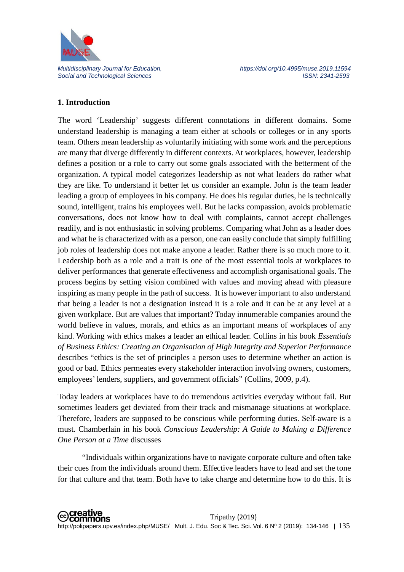

## **1. Introduction**

The word 'Leadership' suggests different connotations in different domains. Some understand leadership is managing a team either at schools or colleges or in any sports team. Others mean leadership as voluntarily initiating with some work and the perceptions are many that diverge differently in different contexts. At workplaces, however, leadership defines a position or a role to carry out some goals associated with the betterment of the organization. A typical model categorizes leadership as not what leaders do rather what they are like. To understand it better let us consider an example. John is the team leader leading a group of employees in his company. He does his regular duties, he is technically sound, intelligent, trains his employees well. But he lacks compassion, avoids problematic conversations, does not know how to deal with complaints, cannot accept challenges readily, and is not enthusiastic in solving problems. Comparing what John as a leader does and what he is characterized with as a person, one can easily conclude that simply fulfilling job roles of leadership does not make anyone a leader. Rather there is so much more to it. Leadership both as a role and a trait is one of the most essential tools at workplaces to deliver performances that generate effectiveness and accomplish organisational goals. The process begins by setting vision combined with values and moving ahead with pleasure inspiring as many people in the path of success. It is however important to also understand that being a leader is not a designation instead it is a role and it can be at any level at a given workplace. But are values that important? Today innumerable companies around the world believe in values, morals, and ethics as an important means of workplaces of any kind. Working with ethics makes a leader an ethical leader. Collins in his book *Essentials of Business Ethics: Creating an Organisation of High Integrity and Superior Performance* describes "ethics is the set of principles a person uses to determine whether an action is good or bad. Ethics permeates every stakeholder interaction involving owners, customers, employees' lenders, suppliers, and government officials" (Collins, 2009, p.4).

Today leaders at workplaces have to do tremendous activities everyday without fail. But sometimes leaders get deviated from their track and mismanage situations at workplace. Therefore, leaders are supposed to be conscious while performing duties. Self-aware is a must. Chamberlain in his book *Conscious Leadership: A Guide to Making a Difference One Person at a Time* discusses

"Individuals within organizations have to navigate corporate culture and often take their cues from the individuals around them. Effective leaders have to lead and set the tone for that culture and that team. Both have to take charge and determine how to do this. It is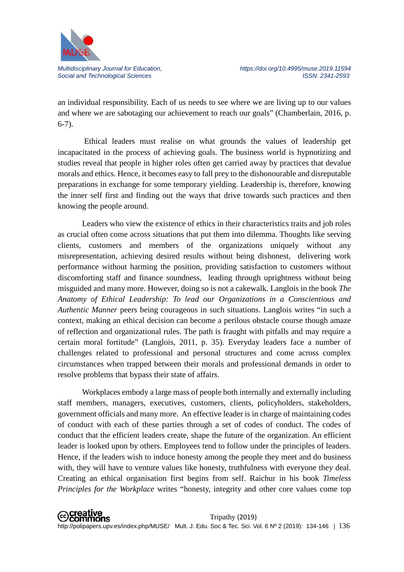

an individual responsibility. Each of us needs to see where we are living up to our values and where we are sabotaging our achievement to reach our goals" (Chamberlain, 2016, p. 6-7).

Ethical leaders must realise on what grounds the values of leadership get incapacitated in the process of achieving goals. The business world is hypnotizing and studies reveal that people in higher roles often get carried away by practices that devalue morals and ethics. Hence, it becomes easy to fall prey to the dishonourable and disreputable preparations in exchange for some temporary yielding. Leadership is, therefore, knowing the inner self first and finding out the ways that drive towards such practices and then knowing the people around.

Leaders who view the existence of ethics in their characteristics traits and job roles as crucial often come across situations that put them into dilemma. Thoughts like serving clients, customers and members of the organizations uniquely without any misrepresentation, achieving desired results without being dishonest, delivering work performance without harming the position, providing satisfaction to customers without discomforting staff and finance soundness, leading through uprightness without being misguided and many more. However, doing so is not a cakewalk. Langlois in the book *The Anatomy of Ethical Leadership: To lead our Organizations in a Conscientious and Authentic Manner* peers being courageous in such situations. Langlois writes "in such a context, making an ethical decision can become a perilous obstacle course though amaze of reflection and organizational rules. The path is fraught with pitfalls and may require a certain moral fortitude" (Langlois, 2011, p. 35). Everyday leaders face a number of challenges related to professional and personal structures and come across complex circumstances when trapped between their morals and professional demands in order to resolve problems that bypass their state of affairs.

Workplaces embody a large mass of people both internally and externally including staff members, managers, executives, customers, clients, policyholders, stakeholders, government officials and many more. An effective leader is in charge of maintaining codes of conduct with each of these parties through a set of codes of conduct. The codes of conduct that the efficient leaders create, shape the future of the organization. An efficient leader is looked upon by others. Employees tend to follow under the principles of leaders. Hence, if the leaders wish to induce honesty among the people they meet and do business with, they will have to venture values like honesty, truthfulness with everyone they deal. Creating an ethical organisation first begins from self. Raichur in his book *Timeless Principles for the Workplace* writes "honesty, integrity and other core values come top

**⊙Creative**<br>
©Commons Tripathy (2019) http://polipapers.upv.es/index.php/MUSE/ Mult. J. Edu. Soc & Tec. Sci. Vol. 6 Nº 2 (2019): 134-146 | 136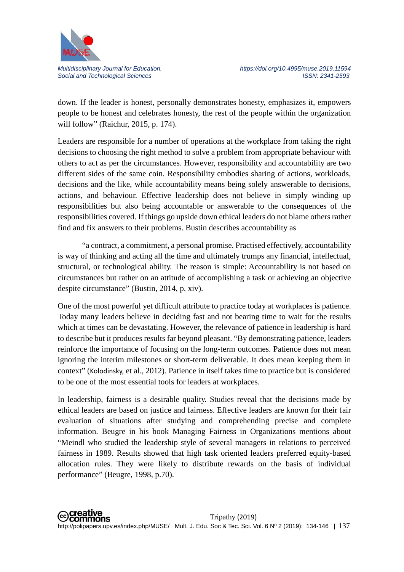

down. If the leader is honest, personally demonstrates honesty, emphasizes it, empowers people to be honest and celebrates honesty, the rest of the people within the organization will follow" (Raichur, 2015, p. 174).

Leaders are responsible for a number of operations at the workplace from taking the right decisions to choosing the right method to solve a problem from appropriate behaviour with others to act as per the circumstances. However, responsibility and accountability are two different sides of the same coin. Responsibility embodies sharing of actions, workloads, decisions and the like, while accountability means being solely answerable to decisions, actions, and behaviour. Effective leadership does not believe in simply winding up responsibilities but also being accountable or answerable to the consequences of the responsibilities covered. If things go upside down ethical leaders do not blame others rather find and fix answers to their problems. Bustin describes accountability as

"a contract, a commitment, a personal promise. Practised effectively, accountability is way of thinking and acting all the time and ultimately trumps any financial, intellectual, structural, or technological ability. The reason is simple: Accountability is not based on circumstances but rather on an attitude of accomplishing a task or achieving an objective despite circumstance" (Bustin, 2014, p. xiv).

One of the most powerful yet difficult attribute to practice today at workplaces is patience. Today many leaders believe in deciding fast and not bearing time to wait for the results which at times can be devastating. However, the relevance of patience in leadership is hard to describe but it produces results far beyond pleasant. "By demonstrating patience, leaders reinforce the importance of focusing on the long-term outcomes. Patience does not mean ignoring the interim milestones or short-term deliverable. It does mean keeping them in context" ([Kolodinsky,](http://www.ifyouwilllead.com/leading-with-patience-the-will-to-wait) et al., 2012). Patience in itself takes time to practice but is considered to be one of the most essential tools for leaders at workplaces.

In leadership, fairness is a desirable quality. Studies reveal that the decisions made by ethical leaders are based on justice and fairness. Effective leaders are known for their fair evaluation of situations after studying and comprehending precise and complete information. Beugre in his book Managing Fairness in Organizations mentions about "Meindl who studied the leadership style of several managers in relations to perceived fairness in 1989. Results showed that high task oriented leaders preferred equity-based allocation rules. They were likely to distribute rewards on the basis of individual performance" (Beugre, 1998, p.70).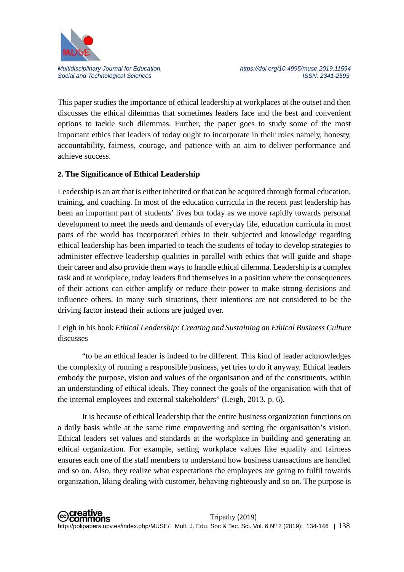

This paper studies the importance of ethical leadership at workplaces at the outset and then discusses the ethical dilemmas that sometimes leaders face and the best and convenient options to tackle such dilemmas. Further, the paper goes to study some of the most important ethics that leaders of today ought to incorporate in their roles namely, honesty, accountability, fairness, courage, and patience with an aim to deliver performance and achieve success.

#### **2. The Significance of Ethical Leadership**

Leadership is an art that is either inherited or that can be acquired through formal education, training, and coaching. In most of the education curricula in the recent past leadership has been an important part of students' lives but today as we move rapidly towards personal development to meet the needs and demands of everyday life, education curricula in most parts of the world has incorporated ethics in their subjected and knowledge regarding ethical leadership has been imparted to teach the students of today to develop strategies to administer effective leadership qualities in parallel with ethics that will guide and shape their career and also provide them ways to handle ethical dilemma. Leadership is a complex task and at workplace, today leaders find themselves in a position where the consequences of their actions can either amplify or reduce their power to make strong decisions and influence others. In many such situations, their intentions are not considered to be the driving factor instead their actions are judged over.

# Leigh in his book *Ethical Leadership: Creating and Sustaining an Ethical Business Culture* discusses

"to be an ethical leader is indeed to be different. This kind of leader acknowledges the complexity of running a responsible business, yet tries to do it anyway. Ethical leaders embody the purpose, vision and values of the organisation and of the constituents, within an understanding of ethical ideals. They connect the goals of the organisation with that of the internal employees and external stakeholders" (Leigh, 2013, p. 6).

It is because of ethical leadership that the entire business organization functions on a daily basis while at the same time empowering and setting the organisation's vision. Ethical leaders set values and standards at the workplace in building and generating an ethical organization. For example, setting workplace values like equality and fairness ensures each one of the staff members to understand how business transactions are handled and so on. Also, they realize what expectations the employees are going to fulfil towards organization, liking dealing with customer, behaving righteously and so on. The purpose is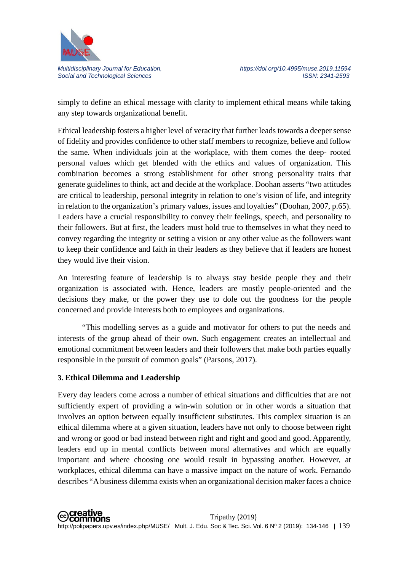

simply to define an ethical message with clarity to implement ethical means while taking any step towards organizational benefit.

Ethical leadership fosters a higher level of veracity that further leads towards a deeper sense of fidelity and provides confidence to other staff members to recognize, believe and follow the same. When individuals join at the workplace, with them comes the deep- rooted personal values which get blended with the ethics and values of organization. This combination becomes a strong establishment for other strong personality traits that generate guidelines to think, act and decide at the workplace. Doohan asserts "two attitudes are critical to leadership, personal integrity in relation to one's vision of life, and integrity in relation to the organization's primary values, issues and loyalties" (Doohan, 2007, p.65). Leaders have a crucial responsibility to convey their feelings, speech, and personality to their followers. But at first, the leaders must hold true to themselves in what they need to convey regarding the integrity or setting a vision or any other value as the followers want to keep their confidence and faith in their leaders as they believe that if leaders are honest they would live their vision.

An interesting feature of leadership is to always stay beside people they and their organization is associated with. Hence, leaders are mostly people-oriented and the decisions they make, or the power they use to dole out the goodness for the people concerned and provide interests both to employees and organizations.

"This modelling serves as a guide and motivator for others to put the needs and interests of the group ahead of their own. Such engagement creates an intellectual and emotional commitment between leaders and their followers that make both parties equally responsible in the pursuit of common goals" (Parsons, 2017).

### **3. Ethical Dilemma and Leadership**

Every day leaders come across a number of ethical situations and difficulties that are not sufficiently expert of providing a win-win solution or in other words a situation that involves an option between equally insufficient substitutes. This complex situation is an ethical dilemma where at a given situation, leaders have not only to choose between right and wrong or good or bad instead between right and right and good and good. Apparently, leaders end up in mental conflicts between moral alternatives and which are equally important and where choosing one would result in bypassing another. However, at workplaces, ethical dilemma can have a massive impact on the nature of work. Fernando describes "A business dilemma exists when an organizational decision maker faces a choice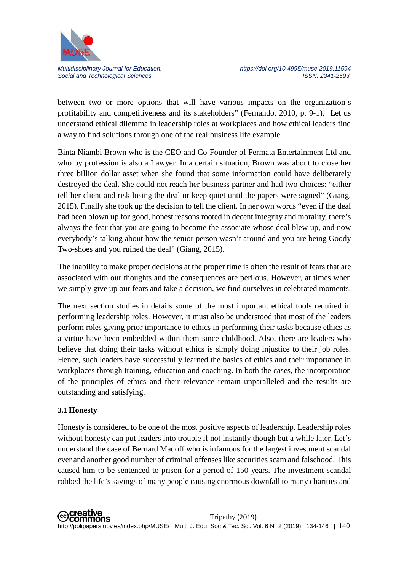

between two or more options that will have various impacts on the organization's profitability and competitiveness and its stakeholders" (Fernando, 2010, p. 9-1). Let us understand ethical dilemma in leadership roles at workplaces and how ethical leaders find a way to find solutions through one of the real business life example.

Binta Niambi Brown who is the CEO and Co-Founder of Fermata Entertainment Ltd and who by profession is also a Lawyer. In a certain situation, Brown was about to close her three billion dollar asset when she found that some information could have deliberately destroyed the deal. She could not reach her business partner and had two choices: "either tell her client and risk losing the deal or keep quiet until the papers were signed" (Giang, 2015). Finally she took up the decision to tell the client. In her own words "even if the deal had been blown up for good, honest reasons rooted in decent integrity and morality, there's always the fear that you are going to become the associate whose deal blew up, and now everybody's talking about how the senior person wasn't around and you are being Goody Two-shoes and you ruined the deal" (Giang, 2015).

The inability to make proper decisions at the proper time is often the result of fears that are associated with our thoughts and the consequences are perilous. However, at times when we simply give up our fears and take a decision, we find ourselves in celebrated moments.

The next section studies in details some of the most important ethical tools required in performing leadership roles. However, it must also be understood that most of the leaders perform roles giving prior importance to ethics in performing their tasks because ethics as a virtue have been embedded within them since childhood. Also, there are leaders who believe that doing their tasks without ethics is simply doing injustice to their job roles. Hence, such leaders have successfully learned the basics of ethics and their importance in workplaces through training, education and coaching. In both the cases, the incorporation of the principles of ethics and their relevance remain unparalleled and the results are outstanding and satisfying.

### **3.1 Honesty**

Honesty is considered to be one of the most positive aspects of leadership. Leadership roles without honesty can put leaders into trouble if not instantly though but a while later. Let's understand the case of Bernard Madoff who is infamous for the largest investment scandal ever and another good number of criminal offenses like securities scam and falsehood. This caused him to be sentenced to prison for a period of 150 years. The investment scandal robbed the life's savings of many people causing enormous downfall to many charities and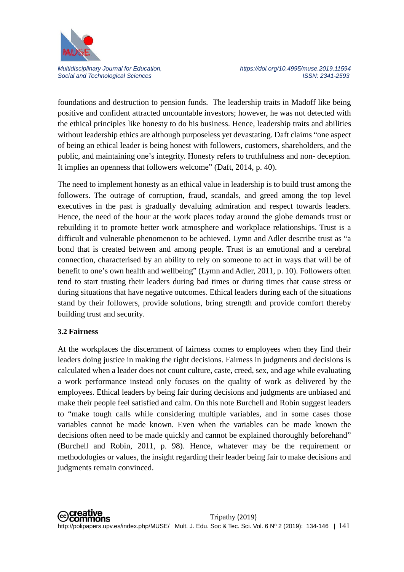

foundations and destruction to pension funds. The leadership traits in Madoff like being positive and confident attracted uncountable investors; however, he was not detected with the ethical principles like honesty to do his business. Hence, leadership traits and abilities without leadership ethics are although purposeless yet devastating. Daft claims "one aspect of being an ethical leader is being honest with followers, customers, shareholders, and the public, and maintaining one's integrity. Honesty refers to truthfulness and non- deception. It implies an openness that followers welcome" (Daft, 2014, p. 40).

The need to implement honesty as an ethical value in leadership is to build trust among the followers. The outrage of corruption, fraud, scandals, and greed among the top level executives in the past is gradually devaluing admiration and respect towards leaders. Hence, the need of the hour at the work places today around the globe demands trust or rebuilding it to promote better work atmosphere and workplace relationships. Trust is a difficult and vulnerable phenomenon to be achieved. Lymn and Adler describe trust as "a bond that is created between and among people. Trust is an emotional and a cerebral connection, characterised by an ability to rely on someone to act in ways that will be of benefit to one's own health and wellbeing" (Lymn and Adler, 2011, p. 10). Followers often tend to start trusting their leaders during bad times or during times that cause stress or during situations that have negative outcomes. Ethical leaders during each of the situations stand by their followers, provide solutions, bring strength and provide comfort thereby building trust and security.

#### **3.2 Fairness**

At the workplaces the discernment of fairness comes to employees when they find their leaders doing justice in making the right decisions. Fairness in judgments and decisions is calculated when a leader does not count culture, caste, creed, sex, and age while evaluating a work performance instead only focuses on the quality of work as delivered by the employees. Ethical leaders by being fair during decisions and judgments are unbiased and make their people feel satisfied and calm. On this note Burchell and Robin suggest leaders to "make tough calls while considering multiple variables, and in some cases those variables cannot be made known. Even when the variables can be made known the decisions often need to be made quickly and cannot be explained thoroughly beforehand" (Burchell and Robin, 2011, p. 98). Hence, whatever may be the requirement or methodologies or values, the insight regarding their leader being fair to make decisions and judgments remain convinced.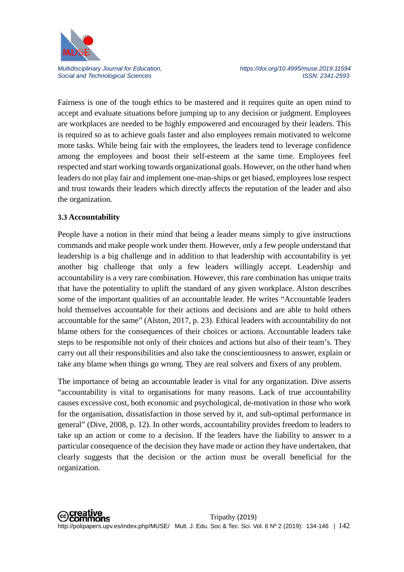

Fairness is one of the tough ethics to be mastered and it requires quite an open mind to accept and evaluate situations before jumping up to any decision or judgment. Employees are workplaces are needed to be highly empowered and encouraged by their leaders. This is required so as to achieve goals faster and also employees remain motivated to welcome more tasks. While being fair with the employees, the leaders tend to leverage confidence among the employees and boost their self-esteem at the same time. Employees feel respected and start working towards organizational goals. However, on the other hand when leaders do not play fair and implement one-man-ships or get biased, employees lose respect and trust towards their leaders which directly affects the reputation of the leader and also the organization.

### **3.3 Accountability**

People have a notion in their mind that being a leader means simply to give instructions commands and make people work under them. However, only a few people understand that leadership is a big challenge and in addition to that leadership with accountability is yet another big challenge that only a few leaders willingly accept. Leadership and accountability is a very rare combination. However, this rare combination has unique traits that have the potentiality to uplift the standard of any given workplace. Alston describes some of the important qualities of an accountable leader. He writes "Accountable leaders hold themselves accountable for their actions and decisions and are able to hold others accountable for the same" (Alston, 2017, p. 23). Ethical leaders with accountability do not blame others for the consequences of their choices or actions. Accountable leaders take steps to be responsible not only of their choices and actions but also of their team's. They carry out all their responsibilities and also take the conscientiousness to answer, explain or take any blame when things go wrong. They are real solvers and fixers of any problem.

The importance of being an accountable leader is vital for any organization. Dive asserts "accountability is vital to organisations for many reasons. Lack of true accountability causes excessive cost, both economic and psychological, de-motivation in those who work for the organisation, dissatisfaction in those served by it, and sub-optimal performance in general" (Dive, 2008, p. 12). In other words, accountability provides freedom to leaders to take up an action or come to a decision. If the leaders have the liability to answer to a particular consequence of the decision they have made or action they have undertaken, that clearly suggests that the decision or the action must be overall beneficial for the organization.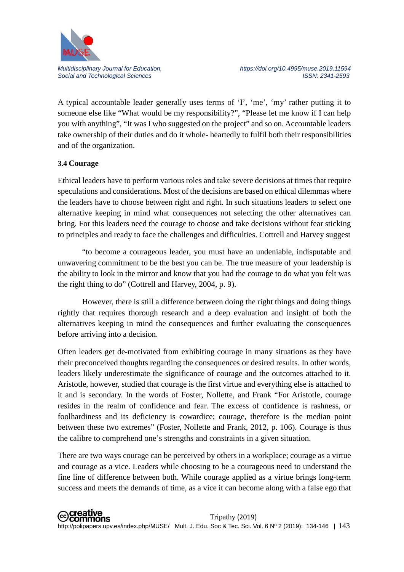

A typical accountable leader generally uses terms of 'I', 'me', 'my' rather putting it to someone else like "What would be my responsibility?", "Please let me know if I can help you with anything", "It was I who suggested on the project" and so on. Accountable leaders take ownership of their duties and do it whole- heartedly to fulfil both their responsibilities and of the organization.

# **3.4 Courage**

Ethical leaders have to perform various roles and take severe decisions at times that require speculations and considerations. Most of the decisions are based on ethical dilemmas where the leaders have to choose between right and right. In such situations leaders to select one alternative keeping in mind what consequences not selecting the other alternatives can bring. For this leaders need the courage to choose and take decisions without fear sticking to principles and ready to face the challenges and difficulties. Cottrell and Harvey suggest

"to become a courageous leader, you must have an undeniable, indisputable and unwavering commitment to be the best you can be. The true measure of your leadership is the ability to look in the mirror and know that you had the courage to do what you felt was the right thing to do" (Cottrell and Harvey, 2004, p. 9).

However, there is still a difference between doing the right things and doing things rightly that requires thorough research and a deep evaluation and insight of both the alternatives keeping in mind the consequences and further evaluating the consequences before arriving into a decision.

Often leaders get de-motivated from exhibiting courage in many situations as they have their preconceived thoughts regarding the consequences or desired results. In other words, leaders likely underestimate the significance of courage and the outcomes attached to it. Aristotle, however, studied that courage is the first virtue and everything else is attached to it and is secondary. In the words of Foster, Nollette, and Frank "For Aristotle, courage resides in the realm of confidence and fear. The excess of confidence is rashness, or foolhardiness and its deficiency is cowardice; courage, therefore is the median point between these two extremes" (Foster, Nollette and Frank, 2012, p. 106). Courage is thus the calibre to comprehend one's strengths and constraints in a given situation.

There are two ways courage can be perceived by others in a workplace; courage as a virtue and courage as a vice. Leaders while choosing to be a courageous need to understand the fine line of difference between both. While courage applied as a virtue brings long-term success and meets the demands of time, as a vice it can become along with a false ego that

**⊙Creative**<br>
©Commons Tripathy (2019) http://polipapers.upv.es/index.php/MUSE/ Mult. J. Edu. Soc & Tec. Sci. Vol. 6 Nº 2 (2019): 134-146 | 143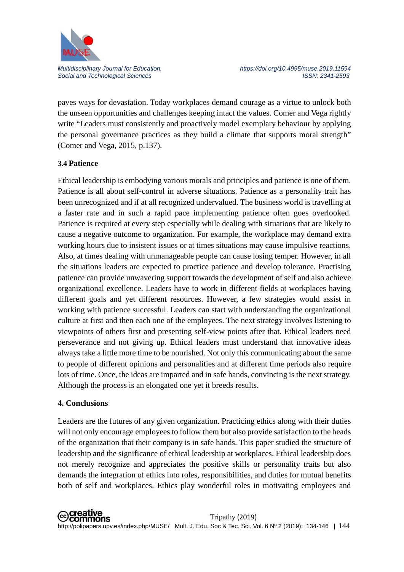

paves ways for devastation. Today workplaces demand courage as a virtue to unlock both the unseen opportunities and challenges keeping intact the values. Comer and Vega rightly write "Leaders must consistently and proactively model exemplary behaviour by applying the personal governance practices as they build a climate that supports moral strength" (Comer and Vega, 2015, p.137).

### **3.4 Patience**

Ethical leadership is embodying various morals and principles and patience is one of them. Patience is all about self-control in adverse situations. Patience as a personality trait has been unrecognized and if at all recognized undervalued. The business world is travelling at a faster rate and in such a rapid pace implementing patience often goes overlooked. Patience is required at every step especially while dealing with situations that are likely to cause a negative outcome to organization. For example, the workplace may demand extra working hours due to insistent issues or at times situations may cause impulsive reactions. Also, at times dealing with unmanageable people can cause losing temper. However, in all the situations leaders are expected to practice patience and develop tolerance. Practising patience can provide unwavering support towards the development of self and also achieve organizational excellence. Leaders have to work in different fields at workplaces having different goals and yet different resources. However, a few strategies would assist in working with patience successful. Leaders can start with understanding the organizational culture at first and then each one of the employees. The next strategy involves listening to viewpoints of others first and presenting self-view points after that. Ethical leaders need perseverance and not giving up. Ethical leaders must understand that innovative ideas always take a little more time to be nourished. Not only this communicating about the same to people of different opinions and personalities and at different time periods also require lots of time. Once, the ideas are imparted and in safe hands, convincing is the next strategy. Although the process is an elongated one yet it breeds results.

### **4. Conclusions**

Leaders are the futures of any given organization. Practicing ethics along with their duties will not only encourage employees to follow them but also provide satisfaction to the heads of the organization that their company is in safe hands. This paper studied the structure of leadership and the significance of ethical leadership at workplaces. Ethical leadership does not merely recognize and appreciates the positive skills or personality traits but also demands the integration of ethics into roles, responsibilities, and duties for mutual benefits both of self and workplaces. Ethics play wonderful roles in motivating employees and

**⊙Creative**<br>
©Commons Tripathy (2019) http://polipapers.upv.es/index.php/MUSE/ Mult. J. Edu. Soc & Tec. Sci. Vol. 6 Nº 2 (2019): 134-146 | 144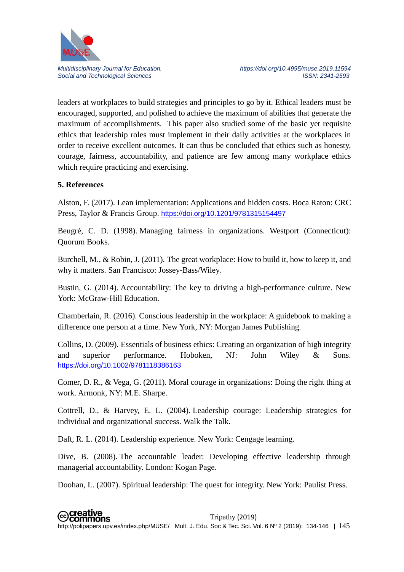

leaders at workplaces to build strategies and principles to go by it. Ethical leaders must be encouraged, supported, and polished to achieve the maximum of abilities that generate the maximum of accomplishments. This paper also studied some of the basic yet requisite ethics that leadership roles must implement in their daily activities at the workplaces in order to receive excellent outcomes. It can thus be concluded that ethics such as honesty, courage, fairness, accountability, and patience are few among many workplace ethics which require practicing and exercising.

# **5. References**

Alston, F. (2017). Lean implementation: Applications and hidden costs. Boca Raton: CRC Press, Taylor & Francis Group. <https://doi.org/10.1201/9781315154497>

Beugré, C. D. (1998). Managing fairness in organizations. Westport (Connecticut): Quorum Books.

Burchell, M., & Robin, J. (2011). The great workplace: How to build it, how to keep it, and why it matters. San Francisco: Jossey-Bass/Wiley.

Bustin, G. (2014). Accountability: The key to driving a high-performance culture. New York: McGraw-Hill Education.

Chamberlain, R. (2016). Conscious leadership in the workplace: A guidebook to making a difference one person at a time. New York, NY: Morgan James Publishing.

Collins, D. (2009). Essentials of business ethics: Creating an organization of high integrity and superior performance. Hoboken, NJ: John Wiley & Sons. <https://doi.org/10.1002/9781118386163>

Comer, D. R., & Vega, G. (2011). Moral courage in organizations: Doing the right thing at work. Armonk, NY: M.E. Sharpe.

Cottrell, D., & Harvey, E. L. (2004). Leadership courage: Leadership strategies for individual and organizational success. Walk the Talk.

Daft, R. L. (2014). Leadership experience. New York: Cengage learning.

Dive, B. (2008). The accountable leader: Developing effective leadership through managerial accountability. London: Kogan Page.

Doohan, L. (2007). Spiritual leadership: The quest for integrity. New York: Paulist Press.